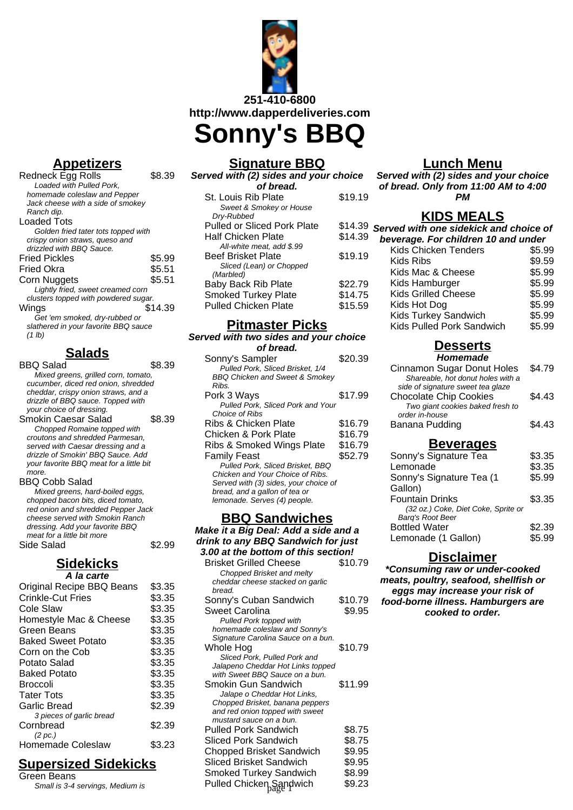

**Appetizers**

| \$8.39                               |
|--------------------------------------|
|                                      |
|                                      |
|                                      |
|                                      |
|                                      |
| Golden fried tater tots topped with  |
|                                      |
|                                      |
| \$5.99                               |
| \$5.51                               |
| \$5.51                               |
|                                      |
| clusters topped with powdered sugar. |
| \$14.39                              |
|                                      |
| slathered in your favorite BBQ sauce |
|                                      |
|                                      |

### **Salads**

BBQ Salad \$8.39

Mixed greens, grilled corn, tomato, cucumber, diced red onion, shredded cheddar, crispy onion straws, and a drizzle of BBQ sauce. Topped with your choice of dressing. Smokin Caesar Salad \$8.39 Chopped Romaine topped with croutons and shredded Parmesan, served with Caesar dressing and a drizzle of Smokin' BBQ Sauce. Add your favorite BBQ meat for a little bit more. BBQ Cobb Salad Mixed greens, hard-boiled eggs, chopped bacon bits, diced tomato, red onion and shredded Pepper Jack cheese served with Smokin Ranch dressing. Add your favorite BBQ meat for a little bit more Side Salad \$2.99 **Sidekicks A la carte**

| Original Recipe BBQ Beans | \$3.35 |
|---------------------------|--------|
| <b>Crinkle-Cut Fries</b>  | \$3.35 |
| Cole Slaw                 | \$3.35 |
| Homestyle Mac & Cheese    | \$3.35 |
| Green Beans               | \$3.35 |
| <b>Baked Sweet Potato</b> | \$3.35 |
| Corn on the Cob           | \$3.35 |
| Potato Salad              | \$3.35 |
| Baked Potato              | \$3.35 |
| Broccoli                  | \$3.35 |
| <b>Tater Tots</b>         | \$3.35 |
| Garlic Bread              | \$2.39 |
| 3 pieces of garlic bread  |        |
| Cornbread                 | \$2.39 |
| (2~pc.)                   |        |
| Homemade Coleslaw         | \$3.23 |

# **Supersized Sidekicks**

Green Beans Small is 3-4 servings, Medium is

# **Signature BBQ**

| Served with (2) sides and your choice |         |
|---------------------------------------|---------|
| of bread.                             |         |
| St. Louis Rib Plate                   | \$19.19 |
| Sweet & Smokey or House               |         |
| Dry-Rubbed                            |         |
| Pulled or Sliced Pork Plate           | \$14.39 |
| Half Chicken Plate                    | \$14.39 |
| All-white meat, add \$.99             |         |
| <b>Beef Brisket Plate</b>             | \$19.19 |
| Sliced (Lean) or Chopped              |         |
| (Marbled)                             |         |
| Baby Back Rib Plate                   | \$22.79 |
| <b>Smoked Turkey Plate</b>            | \$14.75 |
| Pulled Chicken Plate                  | \$15.59 |

### **Pitmaster Picks**

| Served with two sides and your choice     |         |
|-------------------------------------------|---------|
| of bread.                                 |         |
| Sonny's Sampler                           | \$20.39 |
| Pulled Pork, Sliced Brisket, 1/4          |         |
| <b>BBQ Chicken and Sweet &amp; Smokey</b> |         |
| Ribs.                                     |         |
| Pork 3 Ways                               | \$17.99 |
| Pulled Pork, Sliced Pork and Your         |         |
| Choice of Ribs                            |         |
| Ribs & Chicken Plate                      | \$16.79 |
| Chicken & Pork Plate                      | \$16.79 |
| Ribs & Smoked Wings Plate                 | \$16.79 |
| Family Feast                              | \$52.79 |
| Pulled Pork, Sliced Brisket, BBQ          |         |
| Chicken and Your Choice of Ribs.          |         |
| Served with (3) sides, your choice of     |         |
| bread, and a gallon of tea or             |         |
| lemonade. Serves (4) people.              |         |

### **BBQ Sandwiches**

**Make it a Big Deal: Add a side and a drink to any BBQ Sandwich for just 3.00 at the bottom of this section!** Brisket Grilled Cheese \$10.79

| DHOVEL QHIIGU UHEESE               | ง i ∪. i ອ |
|------------------------------------|------------|
| Chopped Brisket and melty          |            |
| cheddar cheese stacked on garlic   |            |
| bread.                             |            |
| Sonny's Cuban Sandwich             | \$10.79    |
| Sweet Carolina                     | \$9.95     |
| Pulled Pork topped with            |            |
| homemade coleslaw and Sonny's      |            |
| Signature Carolina Sauce on a bun. |            |
| Whole Hog                          | \$10.79    |
| Sliced Pork, Pulled Pork and       |            |
| Jalapeno Cheddar Hot Links topped  |            |
| with Sweet BBQ Sauce on a bun.     |            |
| Smokin Gun Sandwich                | \$11.99    |
| Jalape o Cheddar Hot Links,        |            |
| Chopped Brisket, banana peppers    |            |
| and red onion topped with sweet    |            |
| mustard sauce on a bun.            |            |
| Pulled Pork Sandwich               | \$8.75     |
| Sliced Pork Sandwich               | \$8.75     |
| <b>Chopped Brisket Sandwich</b>    | \$9.95     |
| <b>Sliced Brisket Sandwich</b>     | \$9.95     |
| <b>Smoked Turkey Sandwich</b>      | \$8.99     |
| Pulled Chicken Sandwich            | \$9.23     |
|                                    |            |

## **Lunch Menu**

**Served with (2) sides and your choice of bread. Only from 11:00 AM to 4:00 PM**

## **KIDS MEALS**

| Served with one sidekick and choice of |        |
|----------------------------------------|--------|
| beverage. For children 10 and under    |        |
| Kids Chicken Tenders                   | \$5.99 |
| Kids Ribs                              | \$9.59 |
| Kids Mac & Cheese                      | \$5.99 |
| Kids Hamburger                         | \$5.99 |
| <b>Kids Grilled Cheese</b>             | \$5.99 |
| Kids Hot Dog                           | \$5.99 |
| <b>Kids Turkey Sandwich</b>            | \$5.99 |
| Kids Pulled Pork Sandwich              | \$5.99 |
|                                        |        |

# **Desserts**

| Homemade                          |        |
|-----------------------------------|--------|
| Cinnamon Sugar Donut Holes        | \$4.79 |
| Shareable, hot donut holes with a |        |
| side of signature sweet tea glaze |        |
| <b>Chocolate Chip Cookies</b>     | \$4.43 |
| Two giant cookies baked fresh to  |        |
| order in-house                    |        |
| Banana Pudding                    | \$4.43 |
|                                   |        |

### **Beverages**

| Sonny's Signature Tea               | \$3.35 |
|-------------------------------------|--------|
| Lemonade                            | \$3.35 |
| Sonny's Signature Tea (1            | \$5.99 |
| Gallon)                             |        |
| <b>Fountain Drinks</b>              | \$3.35 |
| (32 oz.) Coke, Diet Coke, Sprite or |        |
| Barq's Root Beer                    |        |
| <b>Bottled Water</b>                | \$2.39 |
| Lemonade (1 Gallon)                 | \$5.99 |

### **Disclaimer**

**\*Consuming raw or under-cooked meats, poultry, seafood, shellfish or eggs may increase your risk of food-borne illness. Hamburgers are cooked to order.**